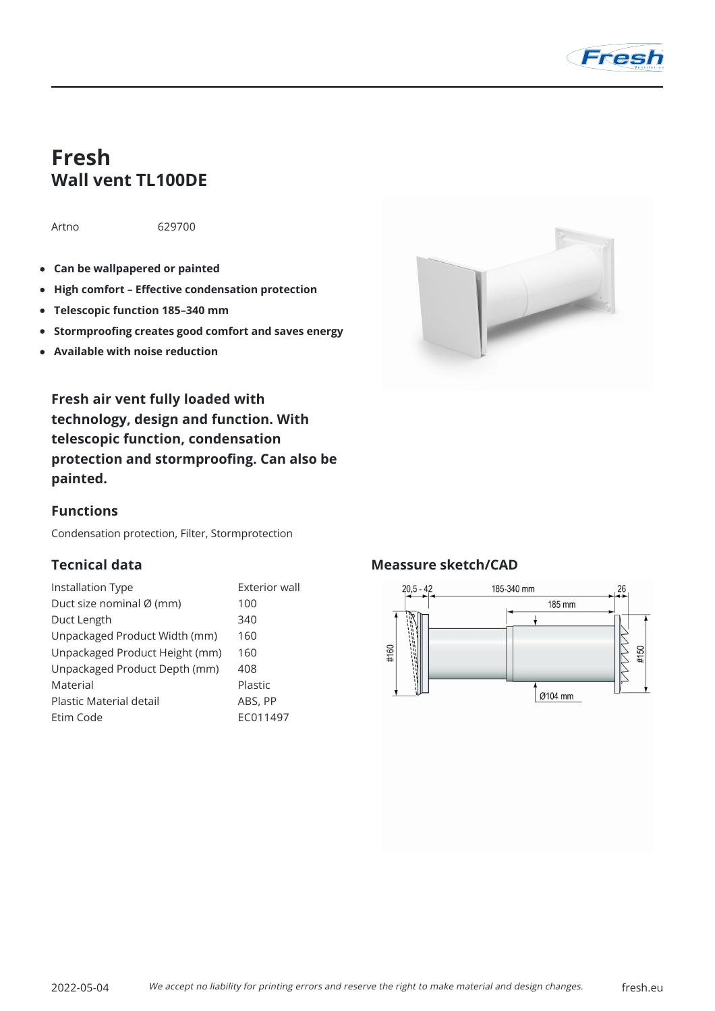

# **Fresh Wall vent TL100DE**

Artno 629700

- **Can be wallpapered or painted**
- **High comfort Effective condensation protection**
- **Telescopic function 185–340 mm**
- **Stormproofing creates good comfort and saves energy**
- **Available with noise reduction**



**Fresh air vent fully loaded with technology, design and function. With telescopic function, condensation protection and stormproofing. Can also be painted.**

### **Functions**

Condensation protection, Filter, Stormprotection

# **Tecnical data**

| Installation Type              | Exterior wall |
|--------------------------------|---------------|
| Duct size nominal Ø (mm)       | 100           |
| Duct Length                    | 340           |
| Unpackaged Product Width (mm)  | 160           |
| Unpackaged Product Height (mm) | 160           |
| Unpackaged Product Depth (mm)  | 408           |
| Material                       | Plastic       |
| Plastic Material detail        | ABS, PP       |
| Etim Code                      | EC011497      |

### **Meassure sketch/CAD**

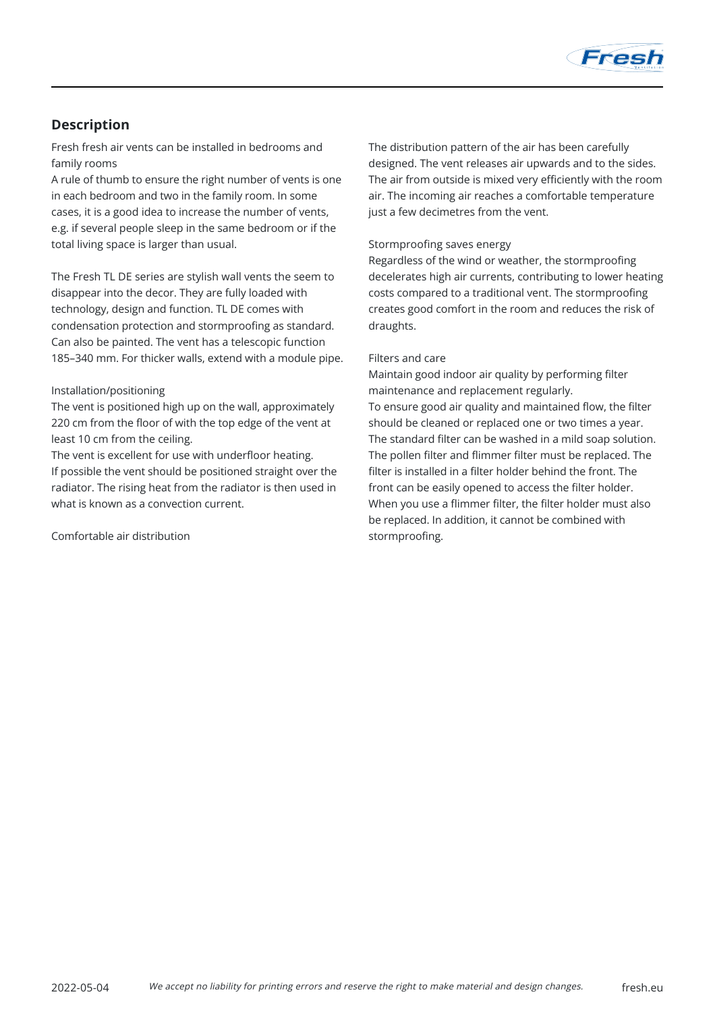

# **Description**

Fresh fresh air vents can be installed in bedrooms and family rooms

A rule of thumb to ensure the right number of vents is one in each bedroom and two in the family room. In some cases, it is a good idea to increase the number of vents, e.g. if several people sleep in the same bedroom or if the total living space is larger than usual.

The Fresh TL DE series are stylish wall vents the seem to disappear into the decor. They are fully loaded with technology, design and function. TL DE comes with condensation protection and stormproofing as standard. Can also be painted. The vent has a telescopic function 185–340 mm. For thicker walls, extend with a module pipe.

#### Installation/positioning

The vent is positioned high up on the wall, approximately 220 cm from the floor of with the top edge of the vent at least 10 cm from the ceiling.

The vent is excellent for use with underfloor heating. If possible the vent should be positioned straight over the radiator. The rising heat from the radiator is then used in what is known as a convection current.

Comfortable air distribution

The distribution pattern of the air has been carefully designed. The vent releases air upwards and to the sides. The air from outside is mixed very efficiently with the room air. The incoming air reaches a comfortable temperature just a few decimetres from the vent.

#### Stormproofing saves energy

Regardless of the wind or weather, the stormproofing decelerates high air currents, contributing to lower heating costs compared to a traditional vent. The stormproofing creates good comfort in the room and reduces the risk of draughts.

#### Filters and care

Maintain good indoor air quality by performing filter maintenance and replacement regularly. To ensure good air quality and maintained flow, the filter should be cleaned or replaced one or two times a year. The standard filter can be washed in a mild soap solution. The pollen filter and flimmer filter must be replaced. The filter is installed in a filter holder behind the front. The front can be easily opened to access the filter holder. When you use a flimmer filter, the filter holder must also be replaced. In addition, it cannot be combined with stormproofing.